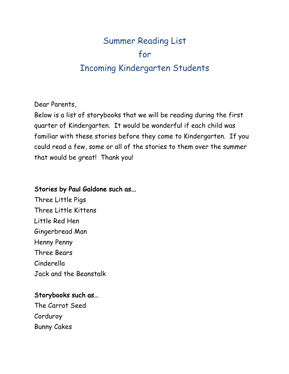# Summer Reading List for Incoming Kindergarten Students

Dear Parents,

Below is a list of storybooks that we will be reading during the first quarter of Kindergarten. It would be wonderful if each child was familiar with these stories before they come to Kindergarten. If you could read a few, some or all of the stories to them over the summer that would be great! Thank you!

## Stories by Paul Galdone such as...

Three Little Pigs Three Little Kittens Little Red Hen Gingerbread Man Henny Penny Three Bears Cinderella Jack and the Beanstalk

# Storybooks such as…

The Carrot Seed Corduroy Bunny Cakes